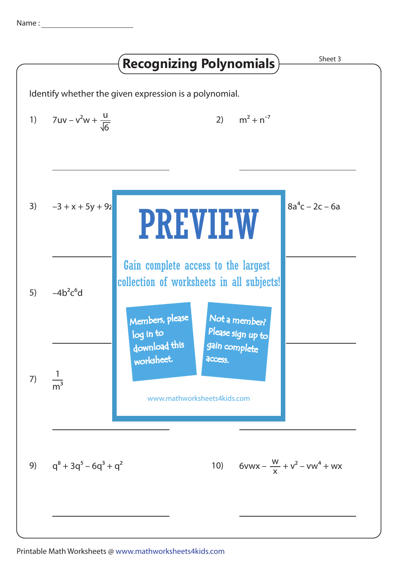